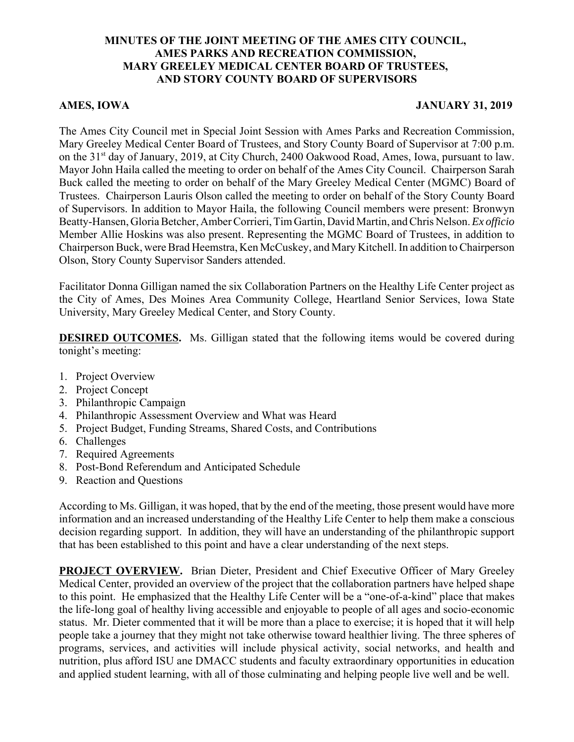## **MINUTES OF THE JOINT MEETING OF THE AMES CITY COUNCIL, AMES PARKS AND RECREATION COMMISSION, MARY GREELEY MEDICAL CENTER BOARD OF TRUSTEES, AND STORY COUNTY BOARD OF SUPERVISORS**

## **AMES, IOWA JANUARY 31, 2019**

The Ames City Council met in Special Joint Session with Ames Parks and Recreation Commission, Mary Greeley Medical Center Board of Trustees, and Story County Board of Supervisor at 7:00 p.m. on the 31<sup>st</sup> day of January, 2019, at City Church, 2400 Oakwood Road, Ames, Iowa, pursuant to law. Mayor John Haila called the meeting to order on behalf of the Ames City Council. Chairperson Sarah Buck called the meeting to order on behalf of the Mary Greeley Medical Center (MGMC) Board of Trustees. Chairperson Lauris Olson called the meeting to order on behalf of the Story County Board of Supervisors. In addition to Mayor Haila, the following Council members were present: Bronwyn Beatty-Hansen, Gloria Betcher, Amber Corrieri, Tim Gartin, David Martin, and Chris Nelson. *Ex officio* Member Allie Hoskins was also present. Representing the MGMC Board of Trustees, in addition to Chairperson Buck, were Brad Heemstra, Ken McCuskey, and Mary Kitchell. In addition to Chairperson Olson, Story County Supervisor Sanders attended.

Facilitator Donna Gilligan named the six Collaboration Partners on the Healthy Life Center project as the City of Ames, Des Moines Area Community College, Heartland Senior Services, Iowa State University, Mary Greeley Medical Center, and Story County.

**DESIRED OUTCOMES.** Ms. Gilligan stated that the following items would be covered during tonight's meeting:

- 1. Project Overview
- 2. Project Concept
- 3. Philanthropic Campaign
- 4. Philanthropic Assessment Overview and What was Heard
- 5. Project Budget, Funding Streams, Shared Costs, and Contributions
- 6. Challenges
- 7. Required Agreements
- 8. Post-Bond Referendum and Anticipated Schedule
- 9. Reaction and Questions

According to Ms. Gilligan, it was hoped, that by the end of the meeting, those present would have more information and an increased understanding of the Healthy Life Center to help them make a conscious decision regarding support. In addition, they will have an understanding of the philanthropic support that has been established to this point and have a clear understanding of the next steps.

**PROJECT OVERVIEW.** Brian Dieter, President and Chief Executive Officer of Mary Greeley Medical Center, provided an overview of the project that the collaboration partners have helped shape to this point. He emphasized that the Healthy Life Center will be a "one-of-a-kind" place that makes the life-long goal of healthy living accessible and enjoyable to people of all ages and socio-economic status. Mr. Dieter commented that it will be more than a place to exercise; it is hoped that it will help people take a journey that they might not take otherwise toward healthier living. The three spheres of programs, services, and activities will include physical activity, social networks, and health and nutrition, plus afford ISU ane DMACC students and faculty extraordinary opportunities in education and applied student learning, with all of those culminating and helping people live well and be well.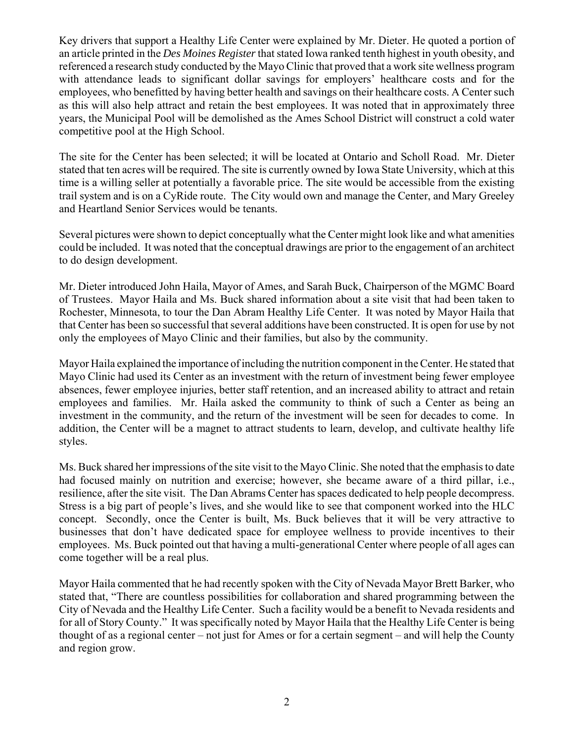Key drivers that support a Healthy Life Center were explained by Mr. Dieter. He quoted a portion of an article printed in the *Des Moines Register* that stated Iowa ranked tenth highest in youth obesity, and referenced a research study conducted by the Mayo Clinic that proved that a work site wellness program with attendance leads to significant dollar savings for employers' healthcare costs and for the employees, who benefitted by having better health and savings on their healthcare costs. A Center such as this will also help attract and retain the best employees. It was noted that in approximately three years, the Municipal Pool will be demolished as the Ames School District will construct a cold water competitive pool at the High School.

The site for the Center has been selected; it will be located at Ontario and Scholl Road. Mr. Dieter stated that ten acres will be required. The site is currently owned by Iowa State University, which at this time is a willing seller at potentially a favorable price. The site would be accessible from the existing trail system and is on a CyRide route. The City would own and manage the Center, and Mary Greeley and Heartland Senior Services would be tenants.

Several pictures were shown to depict conceptually what the Center might look like and what amenities could be included. It was noted that the conceptual drawings are prior to the engagement of an architect to do design development.

Mr. Dieter introduced John Haila, Mayor of Ames, and Sarah Buck, Chairperson of the MGMC Board of Trustees. Mayor Haila and Ms. Buck shared information about a site visit that had been taken to Rochester, Minnesota, to tour the Dan Abram Healthy Life Center. It was noted by Mayor Haila that that Center has been so successful that several additions have been constructed. It is open for use by not only the employees of Mayo Clinic and their families, but also by the community.

Mayor Haila explained the importance of including the nutrition component in the Center. He stated that Mayo Clinic had used its Center as an investment with the return of investment being fewer employee absences, fewer employee injuries, better staff retention, and an increased ability to attract and retain employees and families. Mr. Haila asked the community to think of such a Center as being an investment in the community, and the return of the investment will be seen for decades to come. In addition, the Center will be a magnet to attract students to learn, develop, and cultivate healthy life styles.

Ms. Buck shared her impressions of the site visit to the Mayo Clinic. She noted that the emphasis to date had focused mainly on nutrition and exercise; however, she became aware of a third pillar, i.e., resilience, after the site visit. The Dan Abrams Center has spaces dedicated to help people decompress. Stress is a big part of people's lives, and she would like to see that component worked into the HLC concept. Secondly, once the Center is built, Ms. Buck believes that it will be very attractive to businesses that don't have dedicated space for employee wellness to provide incentives to their employees. Ms. Buck pointed out that having a multi-generational Center where people of all ages can come together will be a real plus.

Mayor Haila commented that he had recently spoken with the City of Nevada Mayor Brett Barker, who stated that, "There are countless possibilities for collaboration and shared programming between the City of Nevada and the Healthy Life Center. Such a facility would be a benefit to Nevada residents and for all of Story County." It was specifically noted by Mayor Haila that the Healthy Life Center is being thought of as a regional center – not just for Ames or for a certain segment – and will help the County and region grow.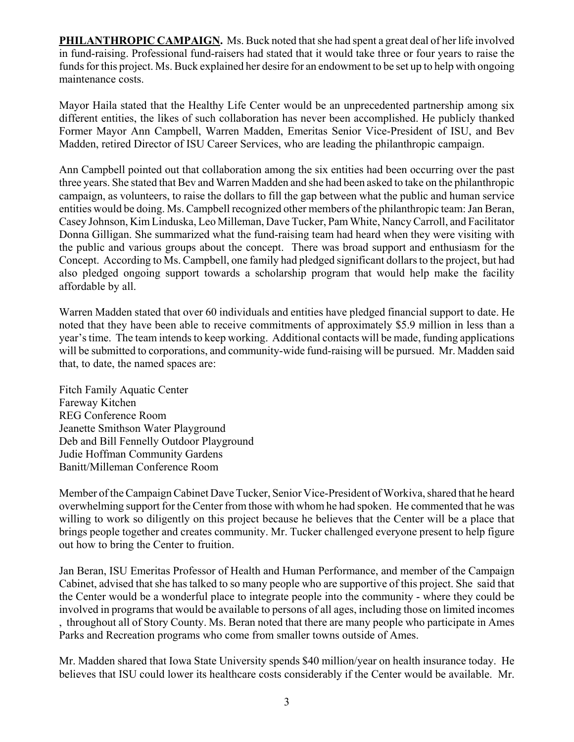**PHILANTHROPIC CAMPAIGN.** Ms. Buck noted that she had spent a great deal of her life involved in fund-raising. Professional fund-raisers had stated that it would take three or four years to raise the funds for this project. Ms. Buck explained her desire for an endowment to be set up to help with ongoing maintenance costs.

Mayor Haila stated that the Healthy Life Center would be an unprecedented partnership among six different entities, the likes of such collaboration has never been accomplished. He publicly thanked Former Mayor Ann Campbell, Warren Madden, Emeritas Senior Vice-President of ISU, and Bev Madden, retired Director of ISU Career Services, who are leading the philanthropic campaign.

Ann Campbell pointed out that collaboration among the six entities had been occurring over the past three years. She stated that Bev and Warren Madden and she had been asked to take on the philanthropic campaign, as volunteers, to raise the dollars to fill the gap between what the public and human service entities would be doing. Ms. Campbell recognized other members of the philanthropic team: Jan Beran, Casey Johnson, Kim Linduska, Leo Milleman, Dave Tucker, Pam White, Nancy Carroll, and Facilitator Donna Gilligan. She summarized what the fund-raising team had heard when they were visiting with the public and various groups about the concept. There was broad support and enthusiasm for the Concept. According to Ms. Campbell, one family had pledged significant dollars to the project, but had also pledged ongoing support towards a scholarship program that would help make the facility affordable by all.

Warren Madden stated that over 60 individuals and entities have pledged financial support to date. He noted that they have been able to receive commitments of approximately \$5.9 million in less than a year's time. The team intends to keep working. Additional contacts will be made, funding applications will be submitted to corporations, and community-wide fund-raising will be pursued. Mr. Madden said that, to date, the named spaces are:

Fitch Family Aquatic Center Fareway Kitchen REG Conference Room Jeanette Smithson Water Playground Deb and Bill Fennelly Outdoor Playground Judie Hoffman Community Gardens Banitt/Milleman Conference Room

Member of the Campaign Cabinet Dave Tucker, Senior Vice-President of Workiva, shared that he heard overwhelming support for the Center from those with whom he had spoken. He commented that he was willing to work so diligently on this project because he believes that the Center will be a place that brings people together and creates community. Mr. Tucker challenged everyone present to help figure out how to bring the Center to fruition.

Jan Beran, ISU Emeritas Professor of Health and Human Performance, and member of the Campaign Cabinet, advised that she has talked to so many people who are supportive of this project. She said that the Center would be a wonderful place to integrate people into the community - where they could be involved in programs that would be available to persons of all ages, including those on limited incomes , throughout all of Story County. Ms. Beran noted that there are many people who participate in Ames Parks and Recreation programs who come from smaller towns outside of Ames.

Mr. Madden shared that Iowa State University spends \$40 million/year on health insurance today. He believes that ISU could lower its healthcare costs considerably if the Center would be available. Mr.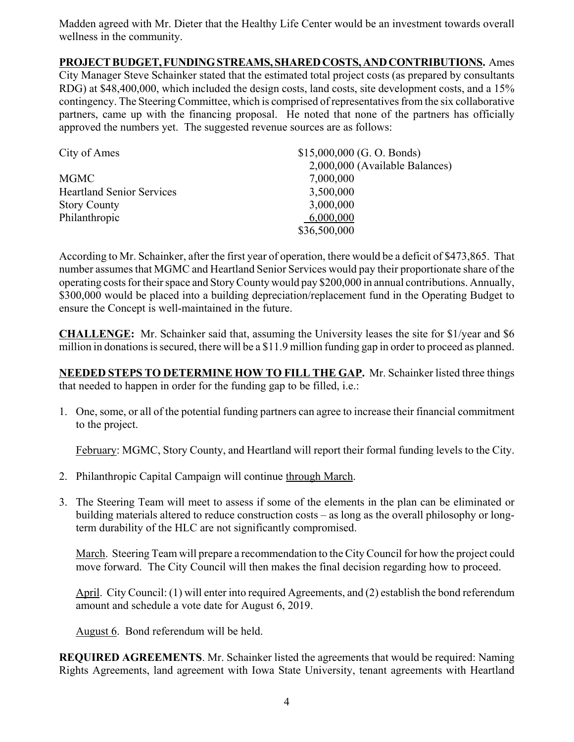Madden agreed with Mr. Dieter that the Healthy Life Center would be an investment towards overall wellness in the community.

## **PROJECT BUDGET, FUNDING STREAMS, SHARED COSTS, AND CONTRIBUTIONS.** Ames City Manager Steve Schainker stated that the estimated total project costs (as prepared by consultants RDG) at \$48,400,000, which included the design costs, land costs, site development costs, and a 15% contingency. The Steering Committee, which is comprised of representatives from the six collaborative partners, came up with the financing proposal. He noted that none of the partners has officially approved the numbers yet. The suggested revenue sources are as follows:

| City of Ames                     | $$15,000,000$ (G. O. Bonds)    |
|----------------------------------|--------------------------------|
|                                  | 2,000,000 (Available Balances) |
| <b>MGMC</b>                      | 7,000,000                      |
| <b>Heartland Senior Services</b> | 3,500,000                      |
| <b>Story County</b>              | 3,000,000                      |
| Philanthropic                    | 6,000,000                      |
|                                  | \$36,500,000                   |

According to Mr. Schainker, after the first year of operation, there would be a deficit of \$473,865. That number assumes that MGMC and Heartland Senior Services would pay their proportionate share of the operating costs for their space and Story County would pay \$200,000 in annual contributions. Annually, \$300,000 would be placed into a building depreciation/replacement fund in the Operating Budget to ensure the Concept is well-maintained in the future.

**CHALLENGE:** Mr. Schainker said that, assuming the University leases the site for \$1/year and \$6 million in donations is secured, there will be a \$11.9 million funding gap in order to proceed as planned.

**NEEDED STEPS TO DETERMINE HOW TO FILL THE GAP.** Mr. Schainker listed three things that needed to happen in order for the funding gap to be filled, i.e.:

1. One, some, or all of the potential funding partners can agree to increase their financial commitment to the project.

February: MGMC, Story County, and Heartland will report their formal funding levels to the City.

- 2. Philanthropic Capital Campaign will continue through March.
- 3. The Steering Team will meet to assess if some of the elements in the plan can be eliminated or building materials altered to reduce construction costs – as long as the overall philosophy or longterm durability of the HLC are not significantly compromised.

March. Steering Team will prepare a recommendation to the City Council for how the project could move forward. The City Council will then makes the final decision regarding how to proceed.

April. City Council: (1) will enter into required Agreements, and (2) establish the bond referendum amount and schedule a vote date for August 6, 2019.

August 6. Bond referendum will be held.

**REQUIRED AGREEMENTS**. Mr. Schainker listed the agreements that would be required: Naming Rights Agreements, land agreement with Iowa State University, tenant agreements with Heartland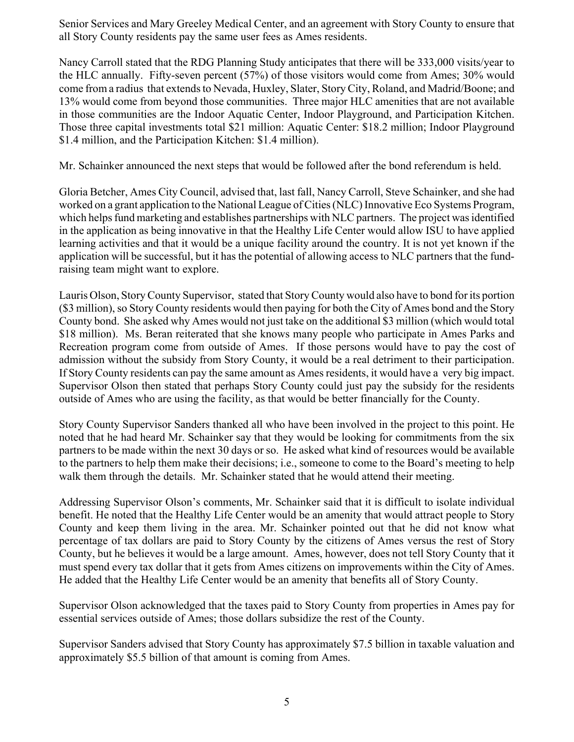Senior Services and Mary Greeley Medical Center, and an agreement with Story County to ensure that all Story County residents pay the same user fees as Ames residents.

Nancy Carroll stated that the RDG Planning Study anticipates that there will be 333,000 visits/year to the HLC annually. Fifty-seven percent (57%) of those visitors would come from Ames; 30% would come from a radius that extends to Nevada, Huxley, Slater, Story City, Roland, and Madrid/Boone; and 13% would come from beyond those communities. Three major HLC amenities that are not available in those communities are the Indoor Aquatic Center, Indoor Playground, and Participation Kitchen. Those three capital investments total \$21 million: Aquatic Center: \$18.2 million; Indoor Playground \$1.4 million, and the Participation Kitchen: \$1.4 million).

Mr. Schainker announced the next steps that would be followed after the bond referendum is held.

Gloria Betcher, Ames City Council, advised that, last fall, Nancy Carroll, Steve Schainker, and she had worked on a grant application to the National League of Cities (NLC) Innovative Eco Systems Program, which helps fund marketing and establishes partnerships with NLC partners. The project was identified in the application as being innovative in that the Healthy Life Center would allow ISU to have applied learning activities and that it would be a unique facility around the country. It is not yet known if the application will be successful, but it has the potential of allowing access to NLC partners that the fundraising team might want to explore.

Lauris Olson, Story County Supervisor, stated that Story County would also have to bond for its portion (\$3 million), so Story County residents would then paying for both the City of Ames bond and the Story County bond. She asked why Ames would not just take on the additional \$3 million (which would total \$18 million). Ms. Beran reiterated that she knows many people who participate in Ames Parks and Recreation program come from outside of Ames. If those persons would have to pay the cost of admission without the subsidy from Story County, it would be a real detriment to their participation. If Story County residents can pay the same amount as Ames residents, it would have a very big impact. Supervisor Olson then stated that perhaps Story County could just pay the subsidy for the residents outside of Ames who are using the facility, as that would be better financially for the County.

Story County Supervisor Sanders thanked all who have been involved in the project to this point. He noted that he had heard Mr. Schainker say that they would be looking for commitments from the six partners to be made within the next 30 days or so. He asked what kind of resources would be available to the partners to help them make their decisions; i.e., someone to come to the Board's meeting to help walk them through the details. Mr. Schainker stated that he would attend their meeting.

Addressing Supervisor Olson's comments, Mr. Schainker said that it is difficult to isolate individual benefit. He noted that the Healthy Life Center would be an amenity that would attract people to Story County and keep them living in the area. Mr. Schainker pointed out that he did not know what percentage of tax dollars are paid to Story County by the citizens of Ames versus the rest of Story County, but he believes it would be a large amount. Ames, however, does not tell Story County that it must spend every tax dollar that it gets from Ames citizens on improvements within the City of Ames. He added that the Healthy Life Center would be an amenity that benefits all of Story County.

Supervisor Olson acknowledged that the taxes paid to Story County from properties in Ames pay for essential services outside of Ames; those dollars subsidize the rest of the County.

Supervisor Sanders advised that Story County has approximately \$7.5 billion in taxable valuation and approximately \$5.5 billion of that amount is coming from Ames.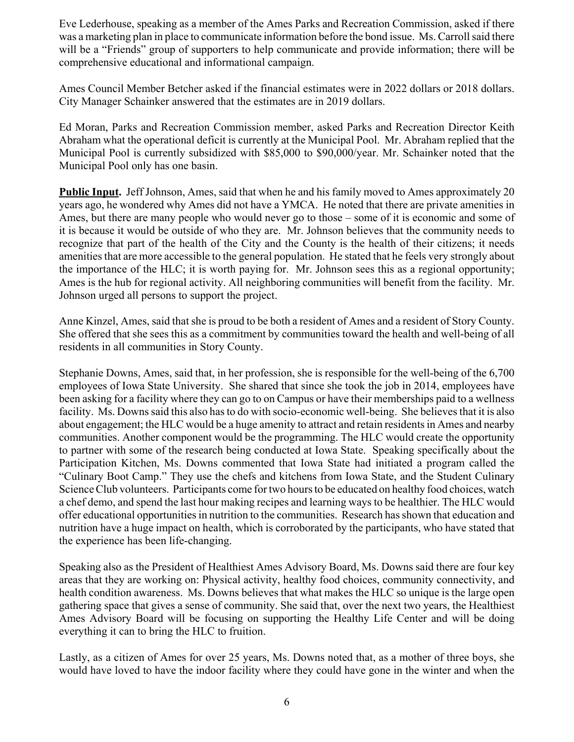Eve Lederhouse, speaking as a member of the Ames Parks and Recreation Commission, asked if there was a marketing plan in place to communicate information before the bond issue. Ms. Carroll said there will be a "Friends" group of supporters to help communicate and provide information; there will be comprehensive educational and informational campaign.

Ames Council Member Betcher asked if the financial estimates were in 2022 dollars or 2018 dollars. City Manager Schainker answered that the estimates are in 2019 dollars.

Ed Moran, Parks and Recreation Commission member, asked Parks and Recreation Director Keith Abraham what the operational deficit is currently at the Municipal Pool. Mr. Abraham replied that the Municipal Pool is currently subsidized with \$85,000 to \$90,000/year. Mr. Schainker noted that the Municipal Pool only has one basin.

**Public Input.** Jeff Johnson, Ames, said that when he and his family moved to Ames approximately 20 years ago, he wondered why Ames did not have a YMCA. He noted that there are private amenities in Ames, but there are many people who would never go to those – some of it is economic and some of it is because it would be outside of who they are. Mr. Johnson believes that the community needs to recognize that part of the health of the City and the County is the health of their citizens; it needs amenities that are more accessible to the general population. He stated that he feels very strongly about the importance of the HLC; it is worth paying for. Mr. Johnson sees this as a regional opportunity; Ames is the hub for regional activity. All neighboring communities will benefit from the facility. Mr. Johnson urged all persons to support the project.

Anne Kinzel, Ames, said that she is proud to be both a resident of Ames and a resident of Story County. She offered that she sees this as a commitment by communities toward the health and well-being of all residents in all communities in Story County.

Stephanie Downs, Ames, said that, in her profession, she is responsible for the well-being of the 6,700 employees of Iowa State University. She shared that since she took the job in 2014, employees have been asking for a facility where they can go to on Campus or have their memberships paid to a wellness facility. Ms. Downs said this also has to do with socio-economic well-being. She believes that it is also about engagement; the HLC would be a huge amenity to attract and retain residents in Ames and nearby communities. Another component would be the programming. The HLC would create the opportunity to partner with some of the research being conducted at Iowa State. Speaking specifically about the Participation Kitchen, Ms. Downs commented that Iowa State had initiated a program called the "Culinary Boot Camp." They use the chefs and kitchens from Iowa State, and the Student Culinary Science Club volunteers. Participants come for two hours to be educated on healthy food choices, watch a chef demo, and spend the last hour making recipes and learning ways to be healthier. The HLC would offer educational opportunities in nutrition to the communities. Research has shown that education and nutrition have a huge impact on health, which is corroborated by the participants, who have stated that the experience has been life-changing.

Speaking also as the President of Healthiest Ames Advisory Board, Ms. Downs said there are four key areas that they are working on: Physical activity, healthy food choices, community connectivity, and health condition awareness. Ms. Downs believes that what makes the HLC so unique is the large open gathering space that gives a sense of community. She said that, over the next two years, the Healthiest Ames Advisory Board will be focusing on supporting the Healthy Life Center and will be doing everything it can to bring the HLC to fruition.

Lastly, as a citizen of Ames for over 25 years, Ms. Downs noted that, as a mother of three boys, she would have loved to have the indoor facility where they could have gone in the winter and when the